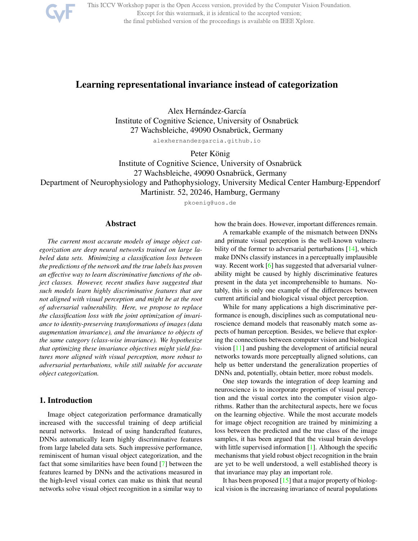

This ICCV Workshop paper is the Open Access version, provided by the Computer Vision Foundation. Except for this watermark, it is identical to the accepted version; the final published version of the proceedings is available on IEEE Xplore.

# Learning representational invariance instead of categorization

Alex Hernández-García Institute of Cognitive Science, University of Osnabrück 27 Wachsbleiche, 49090 Osnabrück, Germany

alexhernandezgarcia.github.io

Peter König

Institute of Cognitive Science, University of Osnabrück

27 Wachsbleiche, 49090 Osnabrück, Germany

Department of Neurophysiology and Pathophysiology, University Medical Center Hamburg-Eppendorf

Martinistr. 52, 20246, Hamburg, Germany

pkoenig@uos.de

#### Abstract

*The current most accurate models of image object categorization are deep neural networks trained on large labeled data sets. Minimizing a classification loss between the predictions of the network and the true labels has proven an effective way to learn discriminative functions of the object classes. However, recent studies have suggested that such models learn highly discriminative features that are not aligned with visual perception and might be at the root of adversarial vulnerability. Here, we propose to replace the classification loss with the joint optimization of invariance to identity-preserving transformations of images (data augmentation invariance), and the invariance to objects of the same category (class-wise invariance). We hypothesize that optimizing these invariance objectives might yield features more aligned with visual perception, more robust to adversarial perturbations, while still suitable for accurate object categorization.*

## 1. Introduction

Image object categorization performance dramatically increased with the successful training of deep artificial neural networks. Instead of using handcrafted features, DNNs automatically learn highly discriminative features from large labeled data sets. Such impressive performance, reminiscent of human visual object categorization, and the fact that some similarities have been found [7] between the features learned by DNNs and the activations measured in the high-level visual cortex can make us think that neural networks solve visual object recognition in a similar way to how the brain does. However, important differences remain.

A remarkable example of the mismatch between DNNs and primate visual perception is the well-known vulnerability of the former to adversarial perturbations [14], which make DNNs classify instances in a perceptually implausible way. Recent work [6] has suggested that adversarial vulnerability might be caused by highly discriminative features present in the data yet incomprehensible to humans. Notably, this is only one example of the differences between current artificial and biological visual object perception.

While for many applications a high discriminative performance is enough, disciplines such as computational neuroscience demand models that reasonably match some aspects of human perception. Besides, we believe that exploring the connections between computer vision and biological vision [11] and pushing the development of artificial neural networks towards more perceptually aligned solutions, can help us better understand the generalization properties of DNNs and, potentially, obtain better, more robust models.

One step towards the integration of deep learning and neuroscience is to incorporate properties of visual perception and the visual cortex into the computer vision algorithms. Rather than the architectural aspects, here we focus on the learning objective. While the most accurate models for image object recognition are trained by minimizing a loss between the predicted and the true class of the image samples, it has been argued that the visual brain develops with little supervised information [1]. Although the specific mechanisms that yield robust object recognition in the brain are yet to be well understood, a well established theory is that invariance may play an important role.

It has been proposed  $[15]$  that a major property of biological vision is the increasing invariance of neural populations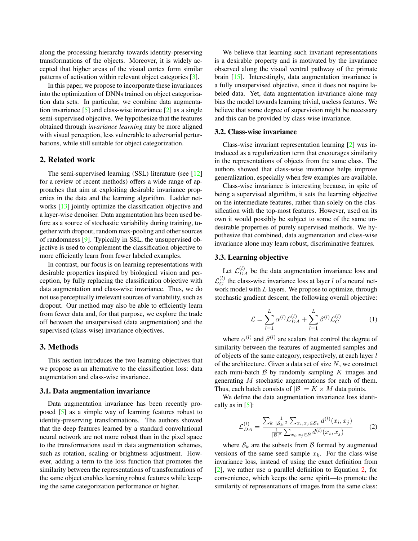along the processing hierarchy towards identity-preserving transformations of the objects. Moreover, it is widely accepted that higher areas of the visual cortex form similar patterns of activation within relevant object categories [3].

In this paper, we propose to incorporate these invariances into the optimization of DNNs trained on object categorization data sets. In particular, we combine data augmentation invariance  $\lceil 5 \rceil$  and class-wise invariance  $\lceil 2 \rceil$  as a single semi-supervised objective. We hypothesize that the features obtained through *invariance learning* may be more aligned with visual perception, less vulnerable to adversarial perturbations, while still suitable for object categorization.

## 2. Related work

The semi-supervised learning (SSL) literature (see [12] for a review of recent methods) offers a wide range of approaches that aim at exploiting desirable invariance properties in the data and the learning algorithm. Ladder networks [13] jointly optimize the classification objective and a layer-wise denoiser. Data augmentation has been used before as a source of stochastic variability during training, together with dropout, random max-pooling and other sources of randomness [9]. Typically in SSL, the unsupervised objective is used to complement the classification objective to more efficiently learn from fewer labeled examples.

In contrast, our focus is on learning representations with desirable properties inspired by biological vision and perception, by fully replacing the classification objective with data augmentation and class-wise invariance. Thus, we do not use perceptually irrelevant sources of variability, such as dropout. Our method may also be able to efficiently learn from fewer data and, for that purpose, we explore the trade off between the unsupervised (data augmentation) and the supervised (class-wise) invariance objectives.

## 3. Methods

This section introduces the two learning objectives that we propose as an alternative to the classification loss: data augmentation and class-wise invariance.

#### 3.1. Data augmentation invariance

Data augmentation invariance has been recently proposed [5] as a simple way of learning features robust to identity-preserving transformations. The authors showed that the deep features learned by a standard convolutional neural network are not more robust than in the pixel space to the transformations used in data augmentation schemes, such as rotation, scaling or brightness adjustment. However, adding a term to the loss function that promotes the similarity between the representations of transformations of the same object enables learning robust features while keeping the same categorization performance or higher.

We believe that learning such invariant representations is a desirable property and is motivated by the invariance observed along the visual ventral pathway of the primate brain [15]. Interestingly, data augmentation invariance is a fully unsupervised objective, since it does not require labeled data. Yet, data augmentation invariance alone may bias the model towards learning trivial, useless features. We believe that some degree of supervision might be necessary and this can be provided by class-wise invariance.

## 3.2. Class-wise invariance

Class-wise invariant representation learning [2] was introduced as a regularization term that encourages similarity in the representations of objects from the same class. The authors showed that class-wise invariance helps improve generalization, especially when few examples are available.

Class-wise invariance is interesting because, in spite of being a supervised algorithm, it sets the learning objective on the intermediate features, rather than solely on the classification with the top-most features. However, used on its own it would possibly be subject to some of the same undesirable properties of purely supervised methods. We hypothesize that combined, data augmentation and class-wise invariance alone may learn robust, discriminative features.

#### 3.3. Learning objective

Let  $\mathcal{L}_{DA}^{(l)}$  be the data augmentation invariance loss and  $\mathcal{L}_C^{(l)}$  the class-wise invariance loss at layer l of a neural network model with  $L$  layers. We propose to optimize, through stochastic gradient descent, the following overall objective:

$$
\mathcal{L} = \sum_{l=1}^{L} \alpha^{(l)} \mathcal{L}_{DA}^{(l)} + \sum_{l=1}^{L} \beta^{(l)} \mathcal{L}_{C}^{(l)} \tag{1}
$$

where  $\alpha^{(l)}$  and  $\beta^{(l)}$  are scalars that control the degree of similarity between the features of augmented samples and of objects of the same category, respectively, at each layer  $l$ of the architecture. Given a data set of size  $N$ , we construct each mini-batch  $\beta$  by randomly sampling  $K$  images and generating M stochastic augmentations for each of them. Thus, each batch consists of  $|\mathcal{B}| = K \times M$  data points.

We define the data augmentation invariance loss identically as in  $[5]$ :

$$
\mathcal{L}_{DA}^{(l)} = \frac{\sum_{k} \frac{1}{|S_k|^2} \sum_{x_i, x_j \in S_k} d^{(l)}(x_i, x_j)}{\frac{1}{|S|^2} \sum_{x_i, x_j \in \mathcal{B}} d^{(l)}(x_i, x_j)} \tag{2}
$$

where  $S_k$  are the subsets from  $\beta$  formed by augmented versions of the same seed sample  $x_k$ . For the class-wise invariance loss, instead of using the exact definition from [2], we rather use a parallel definition to Equation 2, for convenience, which keeps the same spirit—to promote the similarity of representations of images from the same class: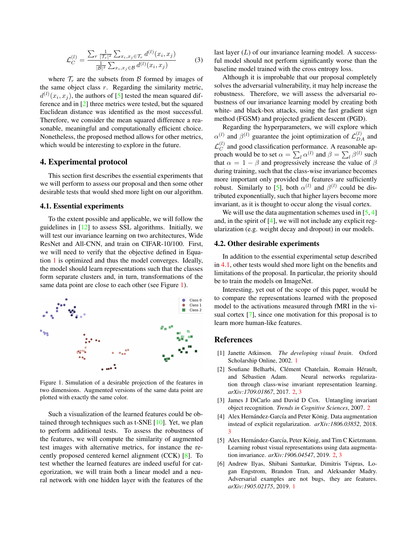$$
\mathcal{L}_C^{(l)} = \frac{\sum_r \frac{1}{|\mathcal{T}_r|^2} \sum_{x_i, x_j \in \mathcal{T}_r} d^{(l)}(x_i, x_j)}{\frac{1}{|\mathcal{B}|^2} \sum_{x_i, x_j \in \mathcal{B}} d^{(l)}(x_i, x_j)} \tag{3}
$$

where  $\mathcal{T}_r$  are the subsets from B formed by images of the same object class  $r$ . Regarding the similarity metric,  $d^{(l)}(x_i, x_j)$ , the authors of [5] tested the mean squared difference and in [2] three metrics were tested, but the squared Euclidean distance was identified as the most successful. Therefore, we consider the mean squared difference a reasonable, meaningful and computationally efficient choice. Nonetheless, the proposed method allows for other metrics, which would be interesting to explore in the future.

#### 4. Experimental protocol

This section first describes the essential experiments that we will perform to assess our proposal and then some other desirable tests that would shed more light on our algorithm.

#### 4.1. Essential experiments

To the extent possible and applicable, we will follow the guidelines in [12] to assess SSL algorithms. Initially, we will test our invariance learning on two architectures, Wide ResNet and All-CNN, and train on CIFAR-10/100. First, we will need to verify that the objective defined in Equation 1 is optimized and thus the model converges. Ideally, the model should learn representations such that the classes form separate clusters and, in turn, transformations of the same data point are close to each other (see Figure 1).



Figure 1. Simulation of a desirable projection of the features in two dimensions. Augmented versions of the same data point are plotted with exactly the same color.

Such a visualization of the learned features could be obtained through techniques such as t-SNE [10]. Yet, we plan to perform additional tests. To assess the robustness of the features, we will compute the similarity of augmented test images with alternative metrics, for instance the recently proposed centered kernel alignment (CCK) [8]. To test whether the learned features are indeed useful for categorization, we will train both a linear model and a neural network with one hidden layer with the features of the last layer  $(L)$  of our invariance learning model. A successful model should not perform significantly worse than the baseline model trained with the cross entropy loss.

Although it is improbable that our proposal completely solves the adversarial vulnerability, it may help increase the robustness. Therefore, we will assess the adversarial robustness of our invariance learning model by creating both white- and black-box attacks, using the fast gradient sign method (FGSM) and projected gradient descent (PGD).

Regarding the hyperparameters, we will explore which  $\alpha^{(l)}$  and  $\beta^{(l)}$  guarantee the joint optimization of  $\mathcal{L}_{DA}^{(l)}$  and  $\mathcal{L}_C^{(l)}$  and good classification performance. A reasonable approach would be to set  $\alpha = \sum_l \alpha^{(l)}$  and  $\beta = \sum_l \beta^{(l)}$  such that  $\alpha = 1 - \beta$  and progressively increase the value of  $\beta$ during training, such that the class-wise invariance becomes more important only provided the features are sufficiently robust. Similarly to [5], both  $\alpha^{(l)}$  and  $\beta^{(l)}$  could be distributed exponentially, such that higher layers become more invariant, as it is thought to occur along the visual cortex.

We will use the data augmentation schemes used in  $[5, 4]$ and, in the spirit of [4], we will not include any explicit regularization (e.g. weight decay and dropout) in our models.

## 4.2. Other desirable experiments

In addition to the essential experimental setup described in 4.1, other tests would shed more light on the benefits and limitations of the proposal. In particular, the priority should be to train the models on ImageNet.

Interesting, yet out of the scope of this paper, would be to compare the representations learned with the proposed model to the activations measured through fMRI in the visual cortex [7], since one motivation for this proposal is to learn more human-like features.

## **References**

- [1] Janette Atkinson. *The developing visual brain*. Oxford Scholarship Online, 2002. 1
- [2] Soufiane Belharbi, Clément Chatelain, Romain Hérault, and Sebastien Adam. Neural networks regulariza- ´ tion through class-wise invariant representation learning. *arXiv:1709.01867*, 2017. 2, 3
- [3] James J DiCarlo and David D Cox. Untangling invariant object recognition. *Trends in Cognitive Sciences*, 2007. 2
- [4] Alex Hernández-García and Peter König. Data augmentation instead of explicit regularization. *arXiv:1806.03852*, 2018. 3
- [5] Alex Hernández-García, Peter König, and Tim C Kietzmann. Learning robust visual representations using data augmentation invariance. *arXiv:1906.04547*, 2019. 2, 3
- [6] Andrew Ilyas, Shibani Santurkar, Dimitris Tsipras, Logan Engstrom, Brandon Tran, and Aleksander Madry. Adversarial examples are not bugs, they are features. *arXiv:1905.02175*, 2019. 1